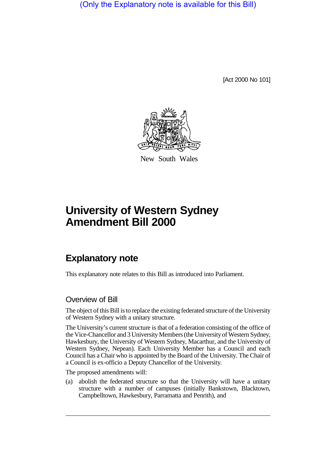(Only the Explanatory note is available for this Bill)

[Act 2000 No 101]



New South Wales

# **University of Western Sydney Amendment Bill 2000**

# **Explanatory note**

This explanatory note relates to this Bill as introduced into Parliament.

## Overview of Bill

The object of this Bill is to replace the existing federated structure of the University of Western Sydney with a unitary structure.

The University's current structure is that of a federation consisting of the office of the Vice-Chancellor and 3 University Members (the University of Western Sydney, Hawkesbury, the University of Western Sydney, Macarthur, and the University of Western Sydney, Nepean). Each University Member has a Council and each Council has a Chair who is appointed by the Board of the University. The Chair of a Council is ex-officio a Deputy Chancellor of the University.

The proposed amendments will:

(a) abolish the federated structure so that the University will have a unitary structure with a number of campuses (initially Bankstown, Blacktown, Campbelltown, Hawkesbury, Parramatta and Penrith), and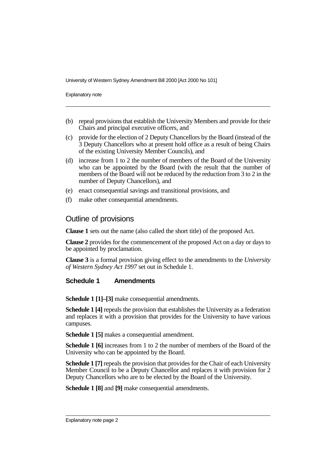University of Western Sydney Amendment Bill 2000 [Act 2000 No 101]

Explanatory note

- (b) repeal provisions that establish the University Members and provide for their Chairs and principal executive officers, and
- (c) provide for the election of 2 Deputy Chancellors by the Board (instead of the 3 Deputy Chancellors who at present hold office as a result of being Chairs of the existing University Member Councils), and
- (d) increase from 1 to 2 the number of members of the Board of the University who can be appointed by the Board (with the result that the number of members of the Board will not be reduced by the reduction from 3 to 2 in the number of Deputy Chancellors), and
- (e) enact consequential savings and transitional provisions, and
- (f) make other consequential amendments.

### Outline of provisions

**Clause 1** sets out the name (also called the short title) of the proposed Act.

**Clause 2** provides for the commencement of the proposed Act on a day or days to be appointed by proclamation.

**Clause 3** is a formal provision giving effect to the amendments to the *University of Western Sydney Act 1997* set out in Schedule 1.

### **Schedule 1 Amendments**

**Schedule 1 [1]–[3]** make consequential amendments.

**Schedule 1 [4]** repeals the provision that establishes the University as a federation and replaces it with a provision that provides for the University to have various campuses.

**Schedule 1 [5]** makes a consequential amendment.

**Schedule 1 [6]** increases from 1 to 2 the number of members of the Board of the University who can be appointed by the Board.

**Schedule 1 [7]** repeals the provision that provides for the Chair of each University Member Council to be a Deputy Chancellor and replaces it with provision for 2 Deputy Chancellors who are to be elected by the Board of the University.

**Schedule 1 [8]** and **[9]** make consequential amendments.